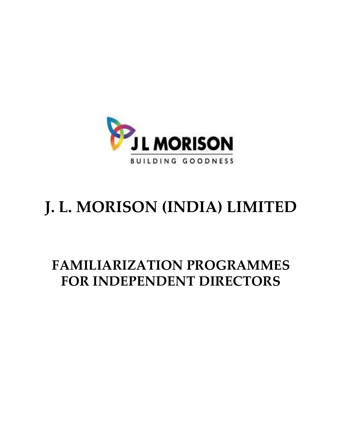

# **J. L. MORISON (INDIA) LIMITED**

## **FAMILIARIZATION PROGRAMMES FOR INDEPENDENT DIRECTORS**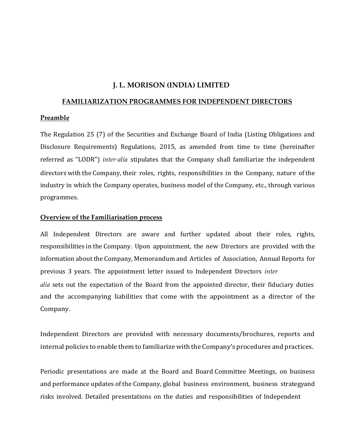### **J. L. MORISON (INDIA) LIMITED**

#### **FAMILIARIZATION PROGRAMMES FOR INDEPENDENT DIRECTORS**

#### **Preamble**

The Regulation 25 (7) of the Securities and Exchange Board of India (Listing Obligations and Disclosure Requirements) Regulations, 2015, as amended from time to time (hereinafter referred as "LODR") *inter-alia* stipulates that the Company shall familiarize the independent directors with the Company, their roles, rights, responsibilities in the Company, nature of the industry in which the Company operates, business model of the Company, etc., through various programmes.

#### **Overview of the Familiarisation process**

All Independent Directors are aware and further updated about their roles, rights, responsibilities in the Company. Upon appointment, the new Directors are provided with the information about the Company, Memorandum and Articles of Association, Annual Reports for previous 3 years. The appointment letter issued to Independent Directors *inter alia* sets out the expectation of the Board from the appointed director, their fiduciary duties and the accompanying liabilities that come with the appointment as a director of the Company.

Independent Directors are provided with necessary documents/brochures, reports and internal policies to enable them to familiarize with the Company's procedures and practices.

Periodic presentations are made at the Board and Board Committee Meetings, on business and performance updates of the Company, global business environment, business strategyand risks involved. Detailed presentations on the duties and responsibilities of Independent